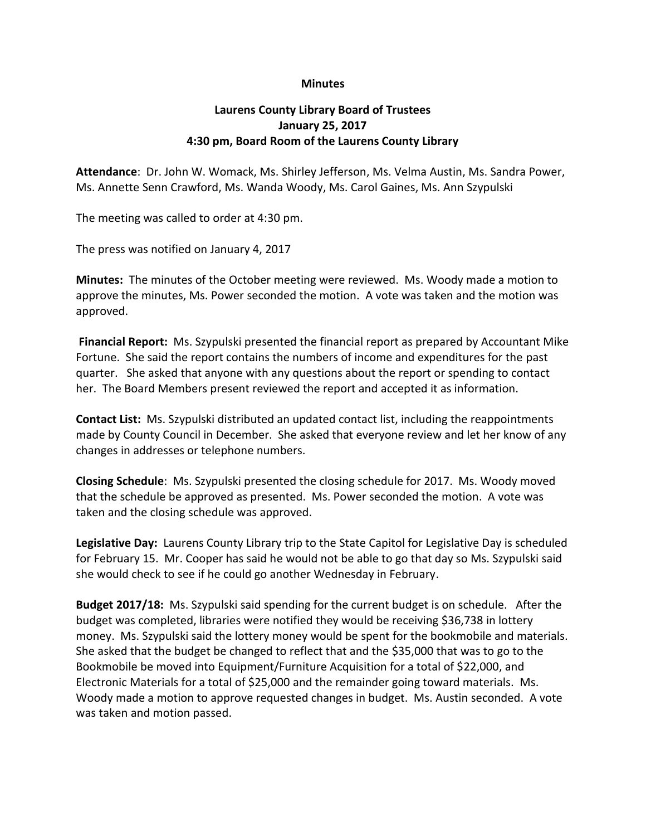## **Minutes**

## **Laurens County Library Board of Trustees January 25, 2017 4:30 pm, Board Room of the Laurens County Library**

**Attendance**: Dr. John W. Womack, Ms. Shirley Jefferson, Ms. Velma Austin, Ms. Sandra Power, Ms. Annette Senn Crawford, Ms. Wanda Woody, Ms. Carol Gaines, Ms. Ann Szypulski

The meeting was called to order at 4:30 pm.

The press was notified on January 4, 2017

**Minutes:** The minutes of the October meeting were reviewed. Ms. Woody made a motion to approve the minutes, Ms. Power seconded the motion. A vote was taken and the motion was approved.

**Financial Report:** Ms. Szypulski presented the financial report as prepared by Accountant Mike Fortune. She said the report contains the numbers of income and expenditures for the past quarter. She asked that anyone with any questions about the report or spending to contact her. The Board Members present reviewed the report and accepted it as information.

**Contact List:** Ms. Szypulski distributed an updated contact list, including the reappointments made by County Council in December. She asked that everyone review and let her know of any changes in addresses or telephone numbers.

**Closing Schedule**: Ms. Szypulski presented the closing schedule for 2017. Ms. Woody moved that the schedule be approved as presented. Ms. Power seconded the motion. A vote was taken and the closing schedule was approved.

**Legislative Day:** Laurens County Library trip to the State Capitol for Legislative Day is scheduled for February 15. Mr. Cooper has said he would not be able to go that day so Ms. Szypulski said she would check to see if he could go another Wednesday in February.

**Budget 2017/18:** Ms. Szypulski said spending for the current budget is on schedule. After the budget was completed, libraries were notified they would be receiving \$36,738 in lottery money. Ms. Szypulski said the lottery money would be spent for the bookmobile and materials. She asked that the budget be changed to reflect that and the \$35,000 that was to go to the Bookmobile be moved into Equipment/Furniture Acquisition for a total of \$22,000, and Electronic Materials for a total of \$25,000 and the remainder going toward materials. Ms. Woody made a motion to approve requested changes in budget. Ms. Austin seconded. A vote was taken and motion passed.